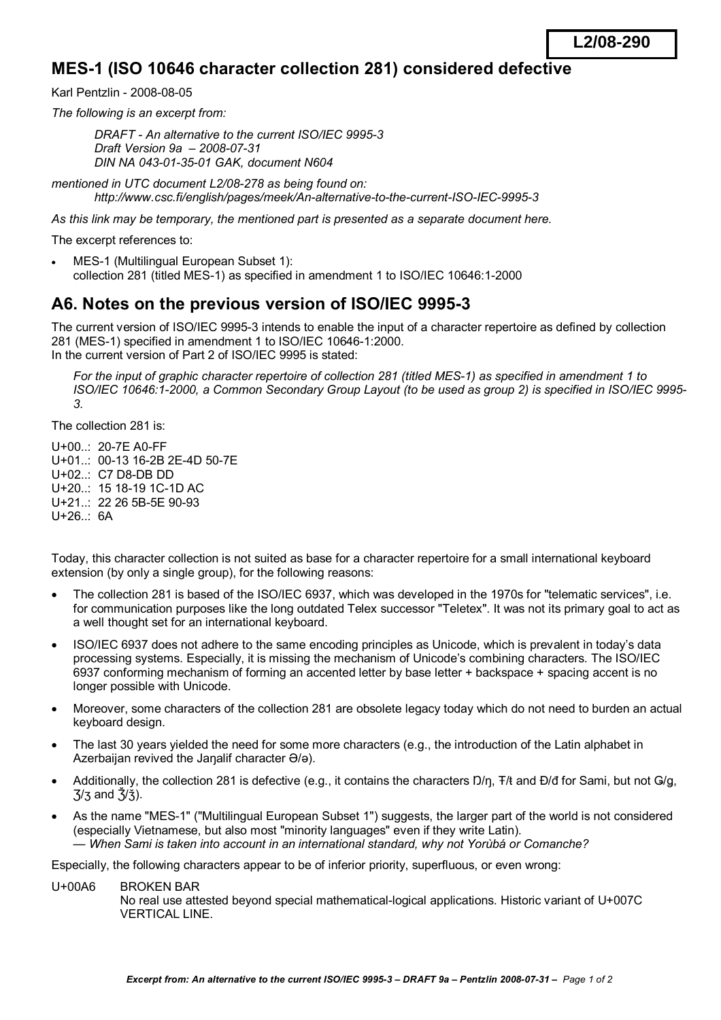## **MES-1 (ISO 10646 character collection 281) considered defective**

Karl Pentzlin - 2008-08-05

*The following is an excerpt from:* 

*DRAFT - An alternative to the current ISO/IEC 9995-3 Draft Version 9a – 2008-07-31 DIN NA 043-01-35-01 GAK, document N604* 

*mentioned in UTC document L2/08-278 as being found on: http://www.csc.fi/english/pages/meek/An-alternative-to-the-current-ISO-IEC-9995-3* 

*As this link may be temporary, the mentioned part is presented as a separate document here.* 

The excerpt references to:

MES-1 (Multilingual European Subset 1): collection 281 (titled MES-1) as specified in amendment 1 to ISO/IEC 10646:1-2000

## **A6. Notes on the previous version of ISO/IEC 9995-3**

The current version of ISO/IEC 9995-3 intends to enable the input of a character repertoire as defined by collection 281 (MES-1) specified in amendment 1 to ISO/IEC 10646-1:2000. In the current version of Part 2 of ISO/IEC 9995 is stated:

*For the input of graphic character repertoire of collection 281 (titled MES-1) as specified in amendment 1 to ISO/IEC 10646:1-2000, a Common Secondary Group Layout (to be used as group 2) is specified in ISO/IEC 9995- 3.* 

The collection 281 is:

U+00..: 20-7E A0-FF U+01..: 00-13 16-2B 2E-4D 50-7E U+02..: C7 D8-DB DD U+20..: 15 18-19 1C-1D AC U+21..: 22 26 5B-5E 90-93 U+26..: 6A

Today, this character collection is not suited as base for a character repertoire for a small international keyboard extension (by only a single group), for the following reasons:

- · The collection 281 is based of the ISO/IEC 6937, which was developed in the 1970s for "telematic services", i.e. for communication purposes like the long outdated Telex successor "Teletex". It was not its primary goal to act as a well thought set for an international keyboard.
- · ISO/IEC 6937 does not adhere to the same encoding principles as Unicode, which is prevalent in today's data processing systems. Especially, it is missing the mechanism of Unicode's combining characters. The ISO/IEC 6937 conforming mechanism of forming an accented letter by base letter + backspace + spacing accent is no longer possible with Unicode.
- · Moreover, some characters of the collection 281 are obsolete legacy today which do not need to burden an actual keyboard design.
- · The last 30 years yielded the need for some more characters (e.g., the introduction of the Latin alphabet in Azerbaijan revived the Jaŋalif character Ə/ə).
- Additionally, the collection 281 is defective (e.g., it contains the characters D/n, T/t and Đ/đ for Sami, but not G/g,  $\frac{7}{3}$  and  $\frac{5}{3}$ .
- As the name "MES-1" ("Multilingual European Subset 1") suggests, the larger part of the world is not considered (especially Vietnamese, but also most "minority languages" even if they write Latin). *— When Sami is taken into account in an international standard, why not Yorùbá or Comanche?*

Especially, the following characters appear to be of inferior priority, superfluous, or even wrong:

U+00A6 BROKEN BAR

No real use attested beyond special mathematical-logical applications. Historic variant of U+007C VERTICAL LINE.